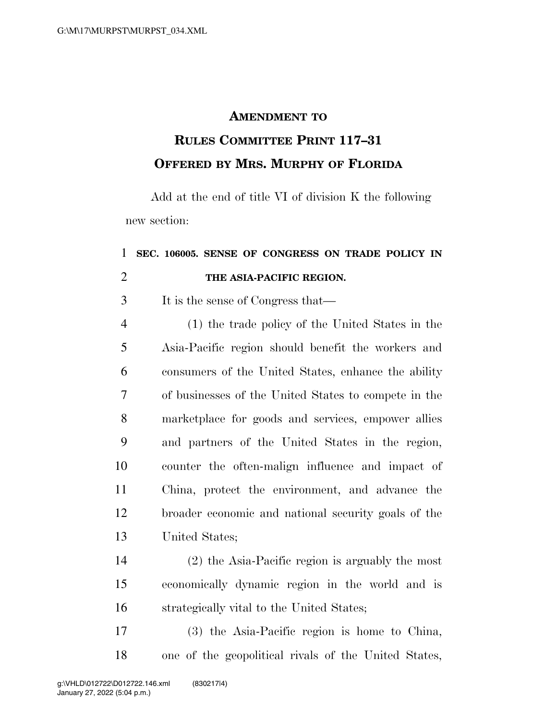## **AMENDMENT TO**

## **RULES COMMITTEE PRINT 117–31 OFFERED BY MRS. MURPHY OF FLORIDA**

Add at the end of title VI of division K the following new section:

## **SEC. 106005. SENSE OF CONGRESS ON TRADE POLICY IN THE ASIA-PACIFIC REGION.**

It is the sense of Congress that—

 (1) the trade policy of the United States in the Asia-Pacific region should benefit the workers and consumers of the United States, enhance the ability of businesses of the United States to compete in the marketplace for goods and services, empower allies and partners of the United States in the region, counter the often-malign influence and impact of China, protect the environment, and advance the broader economic and national security goals of the United States;

 (2) the Asia-Pacific region is arguably the most economically dynamic region in the world and is strategically vital to the United States;

 (3) the Asia-Pacific region is home to China, one of the geopolitical rivals of the United States,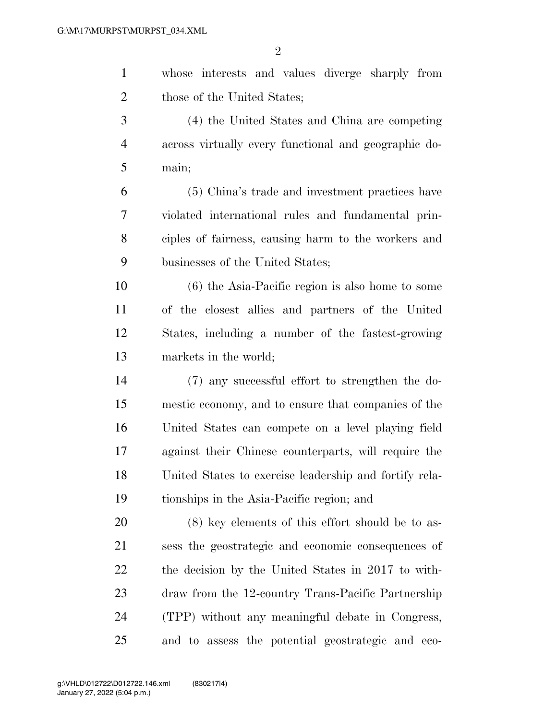| $\mathbf{1}$   | whose interests and values diverge sharply from        |
|----------------|--------------------------------------------------------|
| $\overline{2}$ | those of the United States;                            |
| 3              | (4) the United States and China are competing          |
| $\overline{4}$ | across virtually every functional and geographic do-   |
| 5              | main;                                                  |
| 6              | (5) China's trade and investment practices have        |
| $\tau$         | violated international rules and fundamental prin-     |
| 8              | ciples of fairness, causing harm to the workers and    |
| 9              | businesses of the United States;                       |
| 10             | $(6)$ the Asia-Pacific region is also home to some     |
| 11             | of the closest allies and partners of the United       |
| 12             | States, including a number of the fastest-growing      |
| 13             | markets in the world;                                  |
| 14             | (7) any successful effort to strengthen the do-        |
| 15             | mestic economy, and to ensure that companies of the    |
| 16             | United States can compete on a level playing field     |
| 17             | against their Chinese counterparts, will require the   |
| 18             | United States to exercise leadership and fortify rela- |
| 19             | tionships in the Asia-Pacific region; and              |
| 20             | $(8)$ key elements of this effort should be to as-     |
| 21             | sess the geostrategic and economic consequences of     |
| 22             | the decision by the United States in 2017 to with-     |
| 23             | draw from the 12-country Trans-Pacific Partnership     |
| 24             | (TPP) without any meaningful debate in Congress,       |
| 25             | and to assess the potential geostrategic and eco-      |